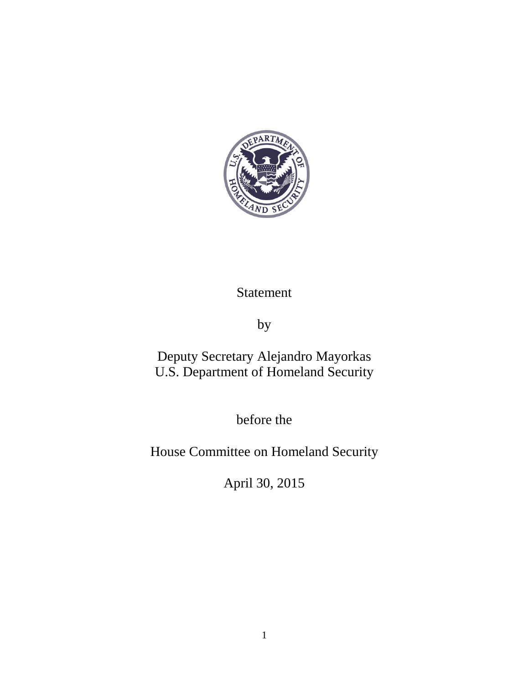

## Statement

by

Deputy Secretary Alejandro Mayorkas U.S. Department of Homeland Security

before the

House Committee on Homeland Security

April 30, 2015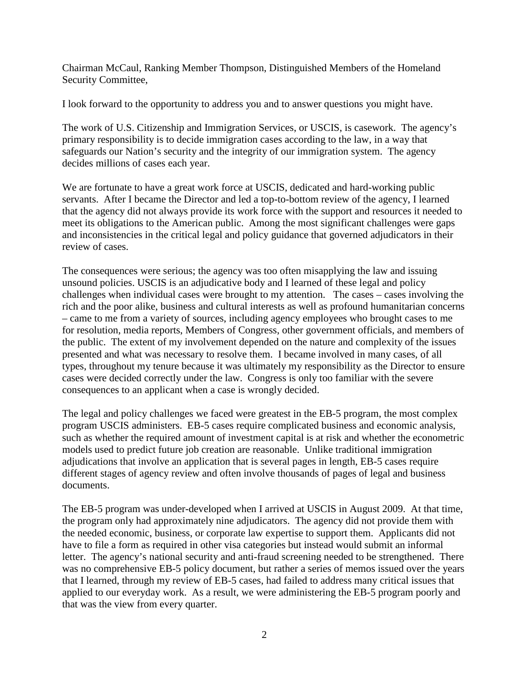Chairman McCaul, Ranking Member Thompson, Distinguished Members of the Homeland Security Committee,

I look forward to the opportunity to address you and to answer questions you might have.

The work of U.S. Citizenship and Immigration Services, or USCIS, is casework. The agency's primary responsibility is to decide immigration cases according to the law, in a way that safeguards our Nation's security and the integrity of our immigration system. The agency decides millions of cases each year.

We are fortunate to have a great work force at USCIS, dedicated and hard-working public servants. After I became the Director and led a top-to-bottom review of the agency, I learned that the agency did not always provide its work force with the support and resources it needed to meet its obligations to the American public. Among the most significant challenges were gaps and inconsistencies in the critical legal and policy guidance that governed adjudicators in their review of cases.

The consequences were serious; the agency was too often misapplying the law and issuing unsound policies. USCIS is an adjudicative body and I learned of these legal and policy challenges when individual cases were brought to my attention. The cases – cases involving the rich and the poor alike, business and cultural interests as well as profound humanitarian concerns – came to me from a variety of sources, including agency employees who brought cases to me for resolution, media reports, Members of Congress, other government officials, and members of the public. The extent of my involvement depended on the nature and complexity of the issues presented and what was necessary to resolve them. I became involved in many cases, of all types, throughout my tenure because it was ultimately my responsibility as the Director to ensure cases were decided correctly under the law. Congress is only too familiar with the severe consequences to an applicant when a case is wrongly decided.

The legal and policy challenges we faced were greatest in the EB-5 program, the most complex program USCIS administers. EB-5 cases require complicated business and economic analysis, such as whether the required amount of investment capital is at risk and whether the econometric models used to predict future job creation are reasonable. Unlike traditional immigration adjudications that involve an application that is several pages in length, EB-5 cases require different stages of agency review and often involve thousands of pages of legal and business documents.

The EB-5 program was under-developed when I arrived at USCIS in August 2009. At that time, the program only had approximately nine adjudicators. The agency did not provide them with the needed economic, business, or corporate law expertise to support them. Applicants did not have to file a form as required in other visa categories but instead would submit an informal letter. The agency's national security and anti-fraud screening needed to be strengthened. There was no comprehensive EB-5 policy document, but rather a series of memos issued over the years that I learned, through my review of EB-5 cases, had failed to address many critical issues that applied to our everyday work. As a result, we were administering the EB-5 program poorly and that was the view from every quarter.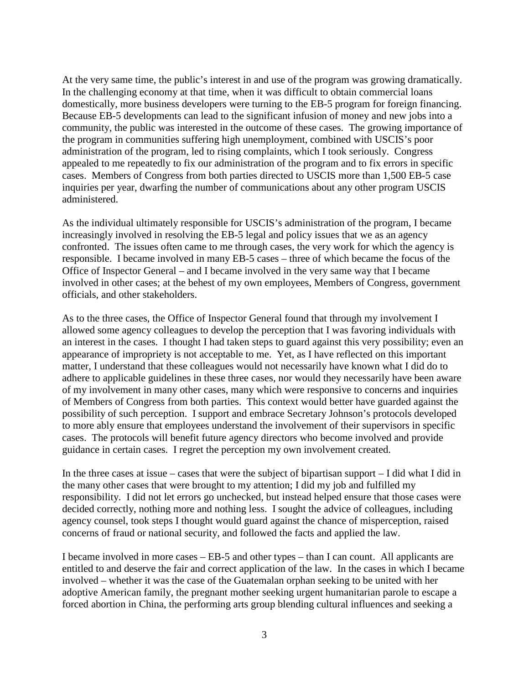At the very same time, the public's interest in and use of the program was growing dramatically. In the challenging economy at that time, when it was difficult to obtain commercial loans domestically, more business developers were turning to the EB-5 program for foreign financing. Because EB-5 developments can lead to the significant infusion of money and new jobs into a community, the public was interested in the outcome of these cases. The growing importance of the program in communities suffering high unemployment, combined with USCIS's poor administration of the program, led to rising complaints, which I took seriously. Congress appealed to me repeatedly to fix our administration of the program and to fix errors in specific cases. Members of Congress from both parties directed to USCIS more than 1,500 EB-5 case inquiries per year, dwarfing the number of communications about any other program USCIS administered.

As the individual ultimately responsible for USCIS's administration of the program, I became increasingly involved in resolving the EB-5 legal and policy issues that we as an agency confronted. The issues often came to me through cases, the very work for which the agency is responsible. I became involved in many EB-5 cases – three of which became the focus of the Office of Inspector General – and I became involved in the very same way that I became involved in other cases; at the behest of my own employees, Members of Congress, government officials, and other stakeholders.

As to the three cases, the Office of Inspector General found that through my involvement I allowed some agency colleagues to develop the perception that I was favoring individuals with an interest in the cases. I thought I had taken steps to guard against this very possibility; even an appearance of impropriety is not acceptable to me. Yet, as I have reflected on this important matter, I understand that these colleagues would not necessarily have known what I did do to adhere to applicable guidelines in these three cases, nor would they necessarily have been aware of my involvement in many other cases, many which were responsive to concerns and inquiries of Members of Congress from both parties. This context would better have guarded against the possibility of such perception. I support and embrace Secretary Johnson's protocols developed to more ably ensure that employees understand the involvement of their supervisors in specific cases. The protocols will benefit future agency directors who become involved and provide guidance in certain cases. I regret the perception my own involvement created.

In the three cases at issue – cases that were the subject of bipartisan support – I did what I did in the many other cases that were brought to my attention; I did my job and fulfilled my responsibility. I did not let errors go unchecked, but instead helped ensure that those cases were decided correctly, nothing more and nothing less. I sought the advice of colleagues, including agency counsel, took steps I thought would guard against the chance of misperception, raised concerns of fraud or national security, and followed the facts and applied the law.

I became involved in more cases – EB-5 and other types – than I can count. All applicants are entitled to and deserve the fair and correct application of the law. In the cases in which I became involved – whether it was the case of the Guatemalan orphan seeking to be united with her adoptive American family, the pregnant mother seeking urgent humanitarian parole to escape a forced abortion in China, the performing arts group blending cultural influences and seeking a